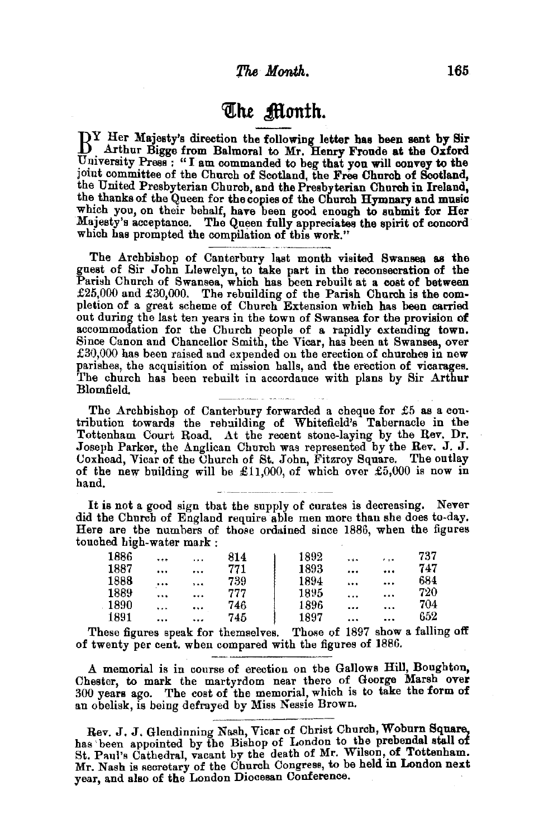## ~lte **Sonth.**

 $\rm B^{Y}$  Her Majesty's direction the following letter has been sent by Sir . Arthur Bigge from Balmoral to Mr. Henry Fronde at the Oxford University Press : "I am commanded to beg that you will convey to the joint committee of the Church of Scotland, the Free Church of Scotland, the United Presbyterian Church, and the Presbyterian Church in Ireland, the thanks of the Queen for the copies of the Church Hymnary and music which you, on their behalf, have been good enough to submit for Her Majesty's acceptance. The Queen fully appreciates the spirit of concord which has prompted the compilation of this work."

The Archbishop of Canterbury last month visited Swansea as the guest of Sir John Llewelyn, to take part in the reconsecration of the Parish Church of Swansea, which has been rebuilt at a cost of between  $\pounds25,000$  and  $\pounds30,000$ . The rebuilding of the Parish Church is the completion of a great scheme of Church Extension which has been carried out during the last ten years in the town of Swansea for the provision of accommodation for the Church people of a rapidly extending town.<br>Since Canon and Chancellor Smith, the Vicar, has been at Swansea, over Since Canon and Chancellor Smith, the Vicar, has been at Swansea, over £30,000 has been raised and expended on the erection of churches in new parishes, the acquisition of mission halls, and the erection of vicarages. 'l'he church has been rebuilt in accordance with plans by Sir Arthur Blomfield.

The Archbishop of Canterbury forwarded a cheque for  $£5$  as a contribution towards the rebuilding of Whitefield's Tabernacle in the Tottenham Court Road. At the recent stone-laying by the Rev. Dr. Joseph Parker, the Anglican Church was represented by the Rev. J. J. Ooxhead, Vicar of the Ohurch of St. John, Fitzroy Square. The outlay of the new building will be £11,000, of which over £5,000 is now in hand.

It is not a good sign that the supply of curates is decreasing. Never did the Church of England require able men more than she does to-day. Here are the numbers of those ordained since 1886, when the figures touched high-water mark :

| 1886 |           | $\cdots$ | 814 | 1892 |          | $\cdots$ | 737 |
|------|-----------|----------|-----|------|----------|----------|-----|
| 1887 | $\cdots$  |          | 771 | 1893 |          |          | 747 |
| 1888 | $\cdots$  | $\cdots$ | 739 | 1894 |          |          | 684 |
| 1889 | $\cdots$  |          | 777 | 1895 | $\cdots$ |          | 720 |
| 1890 | $\ddotsc$ |          | 746 | 1896 |          | $\cdots$ | 704 |
| 1891 |           |          | 745 | 1897 |          |          | 652 |

These figures speak for themselves. Those of 1897 show a falling off of twenty per cent. when compared with the figures of 1886.

A memorial is in course of erection on the Gallows Hill, Boughton, Chester, to mark the martyrdom near there of George Marsh over 300 years ago. The cost of the memorial, which is to take the form of an obelisk, is being defrayed by Miss Nessie Brown.

Rev. J. J. Glendinning Nash, Vicar of Christ Church, Woburn Square, has been appointed by the Bishop of London to the prebendal stall of St. Paul's Cathedral, vacant by the death of Mr. Wilson, of Tottenham. Mr. Nash is secretary of the Church Congress, to be held in London next year, and also of the London Diocesan Conference.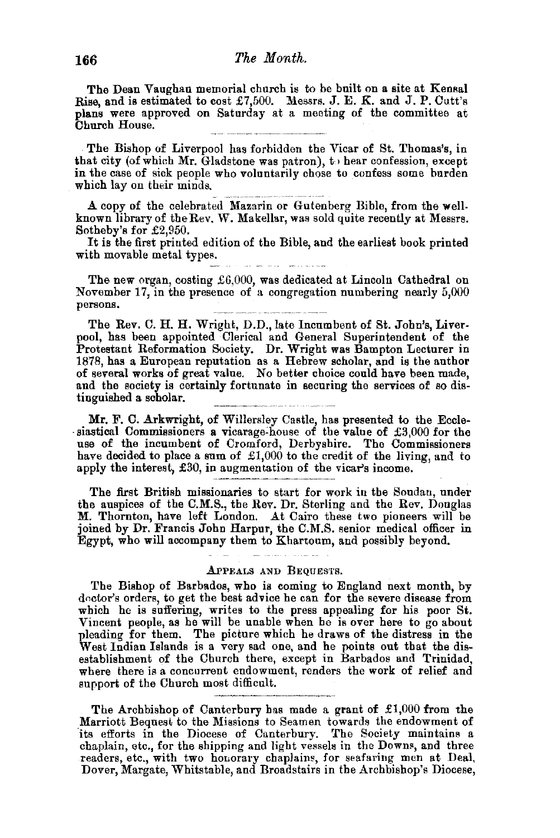The Dean Vaughan memorial church is to be built on a site at Kensal Rise, and is estimated to cost  $£7,500$ . Messrs. J. E. K. and J. P. Cutt's plans were approved on Saturday at a meeting of the committee at Church House.

. The Bishop of Liverpool has forbidden the Vicar of St. Thomas's, in that city (of which Mr. Gladstone was patron),  $t \mapsto$  hear confession, except in the case of sick people who voluntarily chose to confess some burden which lay on their minds.

A copy of the celebrated Mazarin or Gutenberg Bible, from the wellknown library of the Rev. W. Makellar, was sold quite recently at Messrs. Sotheby's for £2,950.

It is the first printed edition of the Bible, and the earliest book printed with movable metal types.

The new organ, costing  $£6,000$ , was dedicated at Lincoln Cathedral on November 17, in the presence of a congregation numbering nearly  $5,000$ persons.

The Rev. C. H. H. Wright, D.D., late Incumbent of St. John's, Liverpool, has been appointed Clerical and General Superintendent of the Protestant Reformation Society. Dr. Wright was Bampton Lecturer in 1878, has a European reputation as a Hebrew scholar, and is the author of several works of great value. No better choice could have been made, and the society is certainly fortunate in securing the services of so distinguished a scholar.

Mr. F. C. Arkwright, of Willersley Castle, has presented to the Eccle-<br>siastical Commissioners a vicarage-house of the value of £3,000 for the<br>use of the incumbent of Cromford, Derbyshire. The Commissioners have decided to place a sum of £1,000 to the credit of the living, and to apply the interest, £30, in augmentation of the vicar's income.

The first British missionaries to start for work in the Soudan, under the auspices of the C.M.S., the Rev. Dr. Sterling and the Rev. Douglas M. Thornton, have left London. At Cairo these two pioneers will be joined by Dr. Francis John Harpur, the C.M.S. senior medical officer in Egypt, who will accompany them to Khartoum, and possibly beyond.

## APPEALS AND BEQUESTS.

للمرابط المتعا

The Bishop of Barbados, who is coming to England next month, by doctor's orders, to get the best advice he can for the severe disease from which he is suffering, writes to the press appealing for his poor St. Vincent people, as he will be unable when he is over here to go about pleading for them. The picture which he draws of the distress in the West Indian Islands is a very sad one, and he points out that the disestablishment of the Church there, except in Barbados and Trinidad, where there is a concurrent endowment, renders the work of relief and support of the Church most difficult.

The Archbishop of Canterbury has made a grant of  $\pounds1,000$  from the Marriott Bequest to the Missions to Seamen towards the endowment of its efforts in the Diocese of Canterbury. The Society maintains a chaplain, etc., for the shipping and light vessels in the Downs, and three readers, etc., with two honorary chaplains, for seafaring men at Deal, Dover, Margate, Whitstable, and Broadstairs in the Archbishop's Diocese,